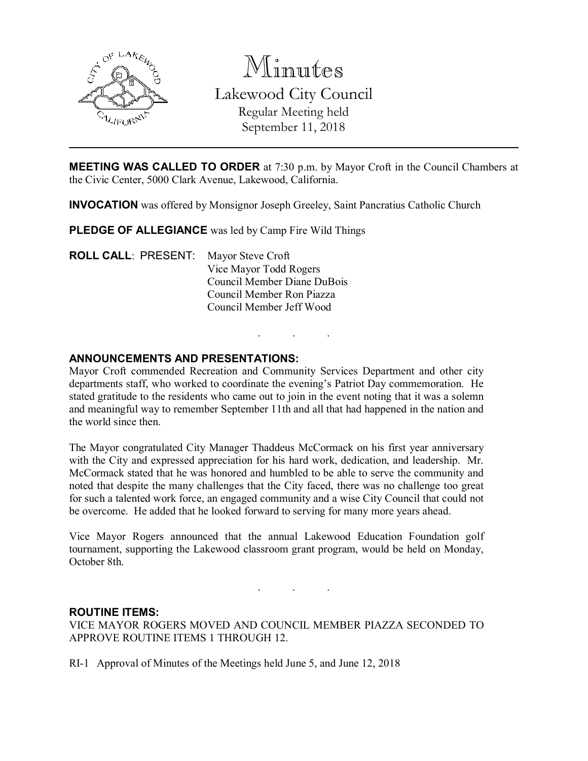

Minutes Lakewood City Council Regular Meeting held September 11, 2018

MEETING WAS CALLED TO ORDER at 7:30 p.m. by Mayor Croft in the Council Chambers at the Civic Center, 5000 Clark Avenue, Lakewood, California.

INVOCATION was offered by Monsignor Joseph Greeley, Saint Pancratius Catholic Church

PLEDGE OF ALLEGIANCE was led by Camp Fire Wild Things

ROLL CALL: PRESENT: Mayor Steve Croft Vice Mayor Todd Rogers Council Member Diane DuBois Council Member Ron Piazza Council Member Jeff Wood

#### ANNOUNCEMENTS AND PRESENTATIONS:

Mayor Croft commended Recreation and Community Services Department and other city departments staff, who worked to coordinate the evening's Patriot Day commemoration. He stated gratitude to the residents who came out to join in the event noting that it was a solemn and meaningful way to remember September 11th and all that had happened in the nation and the world since then.

. . .

The Mayor congratulated City Manager Thaddeus McCormack on his first year anniversary with the City and expressed appreciation for his hard work, dedication, and leadership. Mr. McCormack stated that he was honored and humbled to be able to serve the community and noted that despite the many challenges that the City faced, there was no challenge too great for such a talented work force, an engaged community and a wise City Council that could not be overcome. He added that he looked forward to serving for many more years ahead.

Vice Mayor Rogers announced that the annual Lakewood Education Foundation golf tournament, supporting the Lakewood classroom grant program, would be held on Monday, October 8th.

. . .

#### ROUTINE ITEMS:

VICE MAYOR ROGERS MOVED AND COUNCIL MEMBER PIAZZA SECONDED TO APPROVE ROUTINE ITEMS 1 THROUGH 12.

RI-1 Approval of Minutes of the Meetings held June 5, and June 12, 2018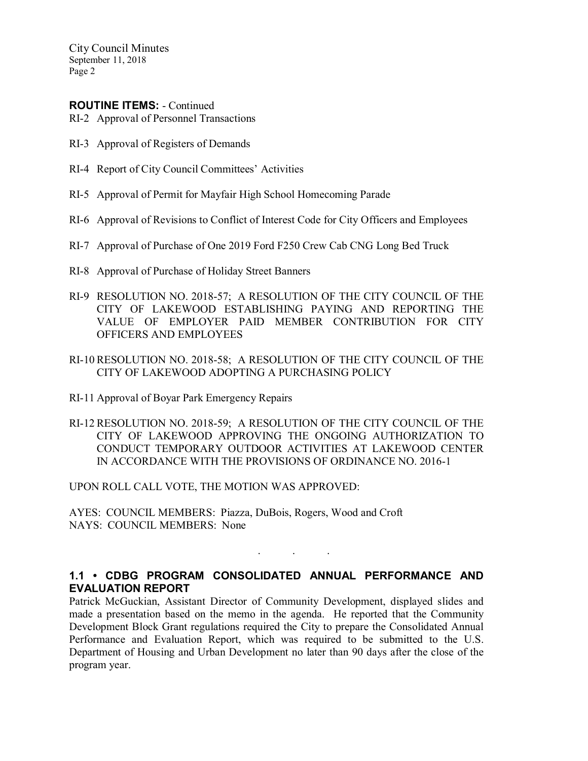#### ROUTINE ITEMS: - Continued

RI-2 Approval of Personnel Transactions

- RI-3 Approval of Registers of Demands
- RI-4 Report of City Council Committees' Activities
- RI-5 Approval of Permit for Mayfair High School Homecoming Parade
- RI-6 Approval of Revisions to Conflict of Interest Code for City Officers and Employees
- RI-7 Approval of Purchase of One 2019 Ford F250 Crew Cab CNG Long Bed Truck
- RI-8 Approval of Purchase of Holiday Street Banners
- RI-9 RESOLUTION NO. 2018-57; A RESOLUTION OF THE CITY COUNCIL OF THE CITY OF LAKEWOOD ESTABLISHING PAYING AND REPORTING THE VALUE OF EMPLOYER PAID MEMBER CONTRIBUTION FOR CITY OFFICERS AND EMPLOYEES
- RI-10 RESOLUTION NO. 2018-58; A RESOLUTION OF THE CITY COUNCIL OF THE CITY OF LAKEWOOD ADOPTING A PURCHASING POLICY
- RI-11 Approval of Boyar Park Emergency Repairs
- RI-12 RESOLUTION NO. 2018-59; A RESOLUTION OF THE CITY COUNCIL OF THE CITY OF LAKEWOOD APPROVING THE ONGOING AUTHORIZATION TO CONDUCT TEMPORARY OUTDOOR ACTIVITIES AT LAKEWOOD CENTER IN ACCORDANCE WITH THE PROVISIONS OF ORDINANCE NO. 2016-1

UPON ROLL CALL VOTE, THE MOTION WAS APPROVED:

AYES: COUNCIL MEMBERS: Piazza, DuBois, Rogers, Wood and Croft NAYS: COUNCIL MEMBERS: None

## 1.1 • CDBG PROGRAM CONSOLIDATED ANNUAL PERFORMANCE AND EVALUATION REPORT

. . .

Patrick McGuckian, Assistant Director of Community Development, displayed slides and made a presentation based on the memo in the agenda. He reported that the Community Development Block Grant regulations required the City to prepare the Consolidated Annual Performance and Evaluation Report, which was required to be submitted to the U.S. Department of Housing and Urban Development no later than 90 days after the close of the program year.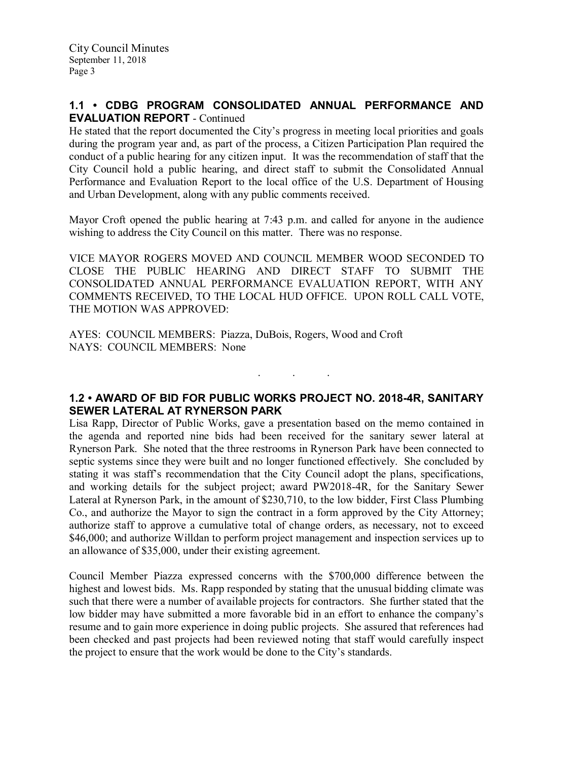### 1.1 • CDBG PROGRAM CONSOLIDATED ANNUAL PERFORMANCE AND EVALUATION REPORT - Continued

He stated that the report documented the City's progress in meeting local priorities and goals during the program year and, as part of the process, a Citizen Participation Plan required the conduct of a public hearing for any citizen input. It was the recommendation of staff that the City Council hold a public hearing, and direct staff to submit the Consolidated Annual Performance and Evaluation Report to the local office of the U.S. Department of Housing and Urban Development, along with any public comments received.

Mayor Croft opened the public hearing at 7:43 p.m. and called for anyone in the audience wishing to address the City Council on this matter. There was no response.

VICE MAYOR ROGERS MOVED AND COUNCIL MEMBER WOOD SECONDED TO CLOSE THE PUBLIC HEARING AND DIRECT STAFF TO SUBMIT THE CONSOLIDATED ANNUAL PERFORMANCE EVALUATION REPORT, WITH ANY COMMENTS RECEIVED, TO THE LOCAL HUD OFFICE. UPON ROLL CALL VOTE, THE MOTION WAS APPROVED:

AYES: COUNCIL MEMBERS: Piazza, DuBois, Rogers, Wood and Croft NAYS: COUNCIL MEMBERS: None

### 1.2 • AWARD OF BID FOR PUBLIC WORKS PROJECT NO. 2018-4R, SANITARY SEWER LATERAL AT RYNERSON PARK

. . .

Lisa Rapp, Director of Public Works, gave a presentation based on the memo contained in the agenda and reported nine bids had been received for the sanitary sewer lateral at Rynerson Park. She noted that the three restrooms in Rynerson Park have been connected to septic systems since they were built and no longer functioned effectively. She concluded by stating it was staff's recommendation that the City Council adopt the plans, specifications, and working details for the subject project; award PW2018-4R, for the Sanitary Sewer Lateral at Rynerson Park, in the amount of \$230,710, to the low bidder, First Class Plumbing Co., and authorize the Mayor to sign the contract in a form approved by the City Attorney; authorize staff to approve a cumulative total of change orders, as necessary, not to exceed \$46,000; and authorize Willdan to perform project management and inspection services up to an allowance of \$35,000, under their existing agreement.

Council Member Piazza expressed concerns with the \$700,000 difference between the highest and lowest bids. Ms. Rapp responded by stating that the unusual bidding climate was such that there were a number of available projects for contractors. She further stated that the low bidder may have submitted a more favorable bid in an effort to enhance the company's resume and to gain more experience in doing public projects. She assured that references had been checked and past projects had been reviewed noting that staff would carefully inspect the project to ensure that the work would be done to the City's standards.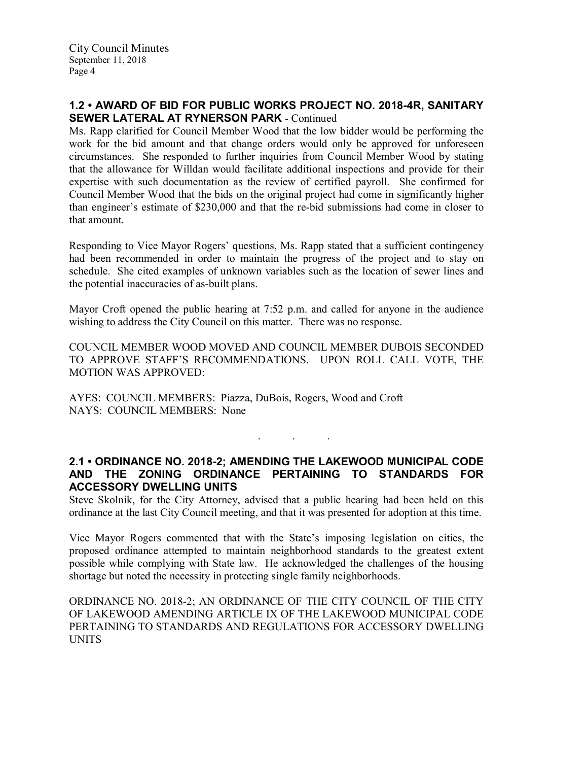### 1.2 • AWARD OF BID FOR PUBLIC WORKS PROJECT NO. 2018-4R, SANITARY SEWER LATERAL AT RYNERSON PARK - Continued

Ms. Rapp clarified for Council Member Wood that the low bidder would be performing the work for the bid amount and that change orders would only be approved for unforeseen circumstances. She responded to further inquiries from Council Member Wood by stating that the allowance for Willdan would facilitate additional inspections and provide for their expertise with such documentation as the review of certified payroll. She confirmed for Council Member Wood that the bids on the original project had come in significantly higher than engineer's estimate of \$230,000 and that the re-bid submissions had come in closer to that amount.

Responding to Vice Mayor Rogers' questions, Ms. Rapp stated that a sufficient contingency had been recommended in order to maintain the progress of the project and to stay on schedule. She cited examples of unknown variables such as the location of sewer lines and the potential inaccuracies of as-built plans.

Mayor Croft opened the public hearing at 7:52 p.m. and called for anyone in the audience wishing to address the City Council on this matter. There was no response.

COUNCIL MEMBER WOOD MOVED AND COUNCIL MEMBER DUBOIS SECONDED TO APPROVE STAFF'S RECOMMENDATIONS. UPON ROLL CALL VOTE, THE MOTION WAS APPROVED:

AYES: COUNCIL MEMBERS: Piazza, DuBois, Rogers, Wood and Croft NAYS: COUNCIL MEMBERS: None

### 2.1 • ORDINANCE NO. 2018-2; AMENDING THE LAKEWOOD MUNICIPAL CODE AND THE ZONING ORDINANCE PERTAINING TO STANDARDS FOR ACCESSORY DWELLING UNITS

. . .

Steve Skolnik, for the City Attorney, advised that a public hearing had been held on this ordinance at the last City Council meeting, and that it was presented for adoption at this time.

Vice Mayor Rogers commented that with the State's imposing legislation on cities, the proposed ordinance attempted to maintain neighborhood standards to the greatest extent possible while complying with State law. He acknowledged the challenges of the housing shortage but noted the necessity in protecting single family neighborhoods.

ORDINANCE NO. 2018-2; AN ORDINANCE OF THE CITY COUNCIL OF THE CITY OF LAKEWOOD AMENDING ARTICLE IX OF THE LAKEWOOD MUNICIPAL CODE PERTAINING TO STANDARDS AND REGULATIONS FOR ACCESSORY DWELLING UNITS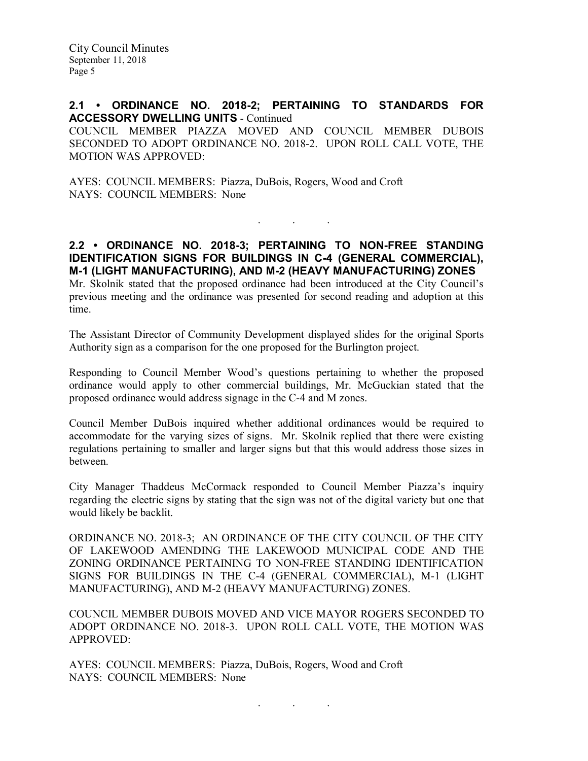#### 2.1 • ORDINANCE NO. 2018-2; PERTAINING TO STANDARDS FOR ACCESSORY DWELLING UNITS - Continued

COUNCIL MEMBER PIAZZA MOVED AND COUNCIL MEMBER DUBOIS SECONDED TO ADOPT ORDINANCE NO. 2018-2. UPON ROLL CALL VOTE, THE MOTION WAS APPROVED:

AYES: COUNCIL MEMBERS: Piazza, DuBois, Rogers, Wood and Croft NAYS: COUNCIL MEMBERS: None

#### 2.2 • ORDINANCE NO. 2018-3; PERTAINING TO NON-FREE STANDING IDENTIFICATION SIGNS FOR BUILDINGS IN C-4 (GENERAL COMMERCIAL), M-1 (LIGHT MANUFACTURING), AND M-2 (HEAVY MANUFACTURING) ZONES

. . .

Mr. Skolnik stated that the proposed ordinance had been introduced at the City Council's previous meeting and the ordinance was presented for second reading and adoption at this time.

The Assistant Director of Community Development displayed slides for the original Sports Authority sign as a comparison for the one proposed for the Burlington project.

Responding to Council Member Wood's questions pertaining to whether the proposed ordinance would apply to other commercial buildings, Mr. McGuckian stated that the proposed ordinance would address signage in the C-4 and M zones.

Council Member DuBois inquired whether additional ordinances would be required to accommodate for the varying sizes of signs. Mr. Skolnik replied that there were existing regulations pertaining to smaller and larger signs but that this would address those sizes in between.

City Manager Thaddeus McCormack responded to Council Member Piazza's inquiry regarding the electric signs by stating that the sign was not of the digital variety but one that would likely be backlit.

ORDINANCE NO. 2018-3; AN ORDINANCE OF THE CITY COUNCIL OF THE CITY OF LAKEWOOD AMENDING THE LAKEWOOD MUNICIPAL CODE AND THE ZONING ORDINANCE PERTAINING TO NON-FREE STANDING IDENTIFICATION SIGNS FOR BUILDINGS IN THE C-4 (GENERAL COMMERCIAL), M-1 (LIGHT MANUFACTURING), AND M-2 (HEAVY MANUFACTURING) ZONES.

COUNCIL MEMBER DUBOIS MOVED AND VICE MAYOR ROGERS SECONDED TO ADOPT ORDINANCE NO. 2018-3. UPON ROLL CALL VOTE, THE MOTION WAS APPROVED:

. . .

AYES: COUNCIL MEMBERS: Piazza, DuBois, Rogers, Wood and Croft NAYS: COUNCIL MEMBERS: None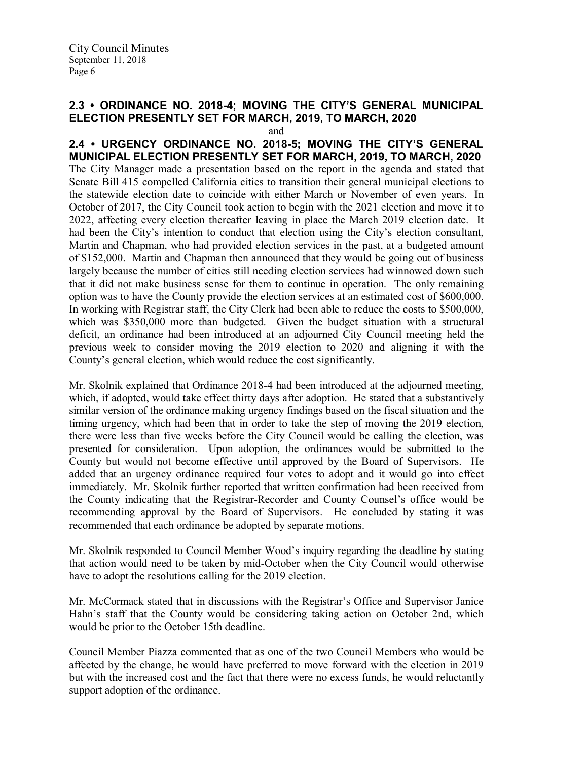# 2.3 • ORDINANCE NO. 2018-4; MOVING THE CITY'S GENERAL MUNICIPAL ELECTION PRESENTLY SET FOR MARCH, 2019, TO MARCH, 2020

and

2.4 • URGENCY ORDINANCE NO. 2018-5; MOVING THE CITY'S GENERAL MUNICIPAL ELECTION PRESENTLY SET FOR MARCH, 2019, TO MARCH, 2020 The City Manager made a presentation based on the report in the agenda and stated that Senate Bill 415 compelled California cities to transition their general municipal elections to the statewide election date to coincide with either March or November of even years. In October of 2017, the City Council took action to begin with the 2021 election and move it to 2022, affecting every election thereafter leaving in place the March 2019 election date. It had been the City's intention to conduct that election using the City's election consultant, Martin and Chapman, who had provided election services in the past, at a budgeted amount of \$152,000. Martin and Chapman then announced that they would be going out of business largely because the number of cities still needing election services had winnowed down such that it did not make business sense for them to continue in operation. The only remaining option was to have the County provide the election services at an estimated cost of \$600,000. In working with Registrar staff, the City Clerk had been able to reduce the costs to \$500,000, which was \$350,000 more than budgeted. Given the budget situation with a structural deficit, an ordinance had been introduced at an adjourned City Council meeting held the previous week to consider moving the 2019 election to 2020 and aligning it with the County's general election, which would reduce the cost significantly.

Mr. Skolnik explained that Ordinance 2018-4 had been introduced at the adjourned meeting, which, if adopted, would take effect thirty days after adoption. He stated that a substantively similar version of the ordinance making urgency findings based on the fiscal situation and the timing urgency, which had been that in order to take the step of moving the 2019 election, there were less than five weeks before the City Council would be calling the election, was presented for consideration. Upon adoption, the ordinances would be submitted to the County but would not become effective until approved by the Board of Supervisors. He added that an urgency ordinance required four votes to adopt and it would go into effect immediately. Mr. Skolnik further reported that written confirmation had been received from the County indicating that the Registrar-Recorder and County Counsel's office would be recommending approval by the Board of Supervisors. He concluded by stating it was recommended that each ordinance be adopted by separate motions.

Mr. Skolnik responded to Council Member Wood's inquiry regarding the deadline by stating that action would need to be taken by mid-October when the City Council would otherwise have to adopt the resolutions calling for the 2019 election.

Mr. McCormack stated that in discussions with the Registrar's Office and Supervisor Janice Hahn's staff that the County would be considering taking action on October 2nd, which would be prior to the October 15th deadline.

Council Member Piazza commented that as one of the two Council Members who would be affected by the change, he would have preferred to move forward with the election in 2019 but with the increased cost and the fact that there were no excess funds, he would reluctantly support adoption of the ordinance.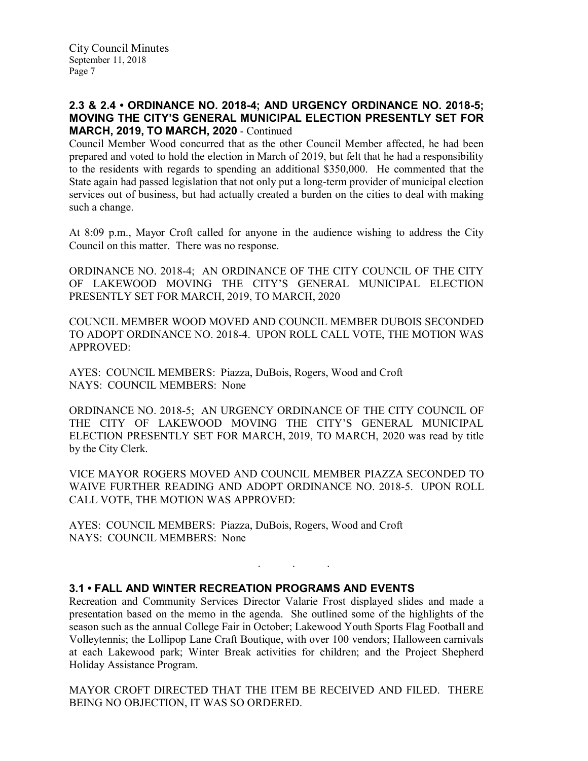## 2.3 & 2.4 • ORDINANCE NO. 2018-4; AND URGENCY ORDINANCE NO. 2018-5; MOVING THE CITY'S GENERAL MUNICIPAL ELECTION PRESENTLY SET FOR MARCH, 2019, TO MARCH, 2020 - Continued

Council Member Wood concurred that as the other Council Member affected, he had been prepared and voted to hold the election in March of 2019, but felt that he had a responsibility to the residents with regards to spending an additional \$350,000. He commented that the State again had passed legislation that not only put a long-term provider of municipal election services out of business, but had actually created a burden on the cities to deal with making such a change.

At 8:09 p.m., Mayor Croft called for anyone in the audience wishing to address the City Council on this matter. There was no response.

ORDINANCE NO. 2018-4; AN ORDINANCE OF THE CITY COUNCIL OF THE CITY OF LAKEWOOD MOVING THE CITY'S GENERAL MUNICIPAL ELECTION PRESENTLY SET FOR MARCH, 2019, TO MARCH, 2020

COUNCIL MEMBER WOOD MOVED AND COUNCIL MEMBER DUBOIS SECONDED TO ADOPT ORDINANCE NO. 2018-4. UPON ROLL CALL VOTE, THE MOTION WAS APPROVED:

AYES: COUNCIL MEMBERS: Piazza, DuBois, Rogers, Wood and Croft NAYS: COUNCIL MEMBERS: None

ORDINANCE NO. 2018-5; AN URGENCY ORDINANCE OF THE CITY COUNCIL OF THE CITY OF LAKEWOOD MOVING THE CITY'S GENERAL MUNICIPAL ELECTION PRESENTLY SET FOR MARCH, 2019, TO MARCH, 2020 was read by title by the City Clerk.

VICE MAYOR ROGERS MOVED AND COUNCIL MEMBER PIAZZA SECONDED TO WAIVE FURTHER READING AND ADOPT ORDINANCE NO. 2018-5. UPON ROLL CALL VOTE, THE MOTION WAS APPROVED:

AYES: COUNCIL MEMBERS: Piazza, DuBois, Rogers, Wood and Croft NAYS: COUNCIL MEMBERS: None

### 3.1 • FALL AND WINTER RECREATION PROGRAMS AND EVENTS

Recreation and Community Services Director Valarie Frost displayed slides and made a presentation based on the memo in the agenda. She outlined some of the highlights of the season such as the annual College Fair in October; Lakewood Youth Sports Flag Football and Volleytennis; the Lollipop Lane Craft Boutique, with over 100 vendors; Halloween carnivals at each Lakewood park; Winter Break activities for children; and the Project Shepherd Holiday Assistance Program.

. . .

MAYOR CROFT DIRECTED THAT THE ITEM BE RECEIVED AND FILED. THERE BEING NO OBJECTION, IT WAS SO ORDERED.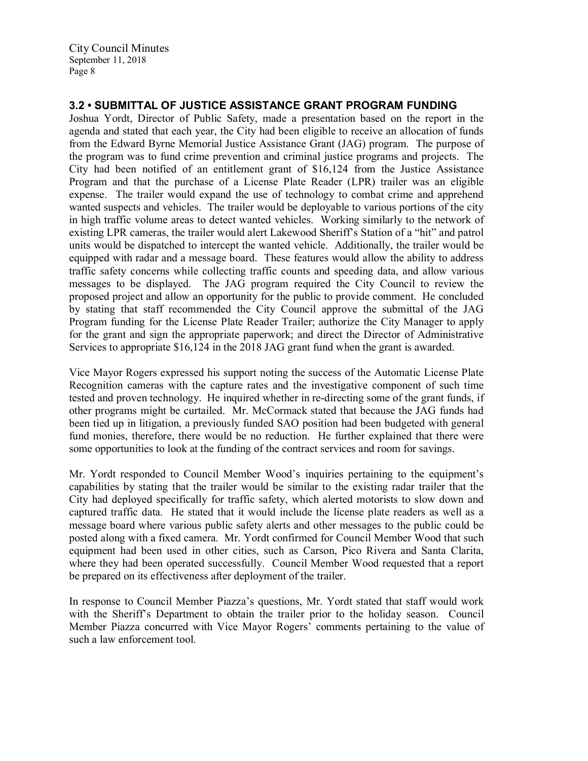# 3.2 • SUBMITTAL OF JUSTICE ASSISTANCE GRANT PROGRAM FUNDING

Joshua Yordt, Director of Public Safety, made a presentation based on the report in the agenda and stated that each year, the City had been eligible to receive an allocation of funds from the Edward Byrne Memorial Justice Assistance Grant (JAG) program. The purpose of the program was to fund crime prevention and criminal justice programs and projects. The City had been notified of an entitlement grant of \$16,124 from the Justice Assistance Program and that the purchase of a License Plate Reader (LPR) trailer was an eligible expense. The trailer would expand the use of technology to combat crime and apprehend wanted suspects and vehicles. The trailer would be deployable to various portions of the city in high traffic volume areas to detect wanted vehicles. Working similarly to the network of existing LPR cameras, the trailer would alert Lakewood Sheriff's Station of a "hit" and patrol units would be dispatched to intercept the wanted vehicle. Additionally, the trailer would be equipped with radar and a message board. These features would allow the ability to address traffic safety concerns while collecting traffic counts and speeding data, and allow various messages to be displayed. The JAG program required the City Council to review the proposed project and allow an opportunity for the public to provide comment. He concluded by stating that staff recommended the City Council approve the submittal of the JAG Program funding for the License Plate Reader Trailer; authorize the City Manager to apply for the grant and sign the appropriate paperwork; and direct the Director of Administrative Services to appropriate \$16,124 in the 2018 JAG grant fund when the grant is awarded.

Vice Mayor Rogers expressed his support noting the success of the Automatic License Plate Recognition cameras with the capture rates and the investigative component of such time tested and proven technology. He inquired whether in re-directing some of the grant funds, if other programs might be curtailed. Mr. McCormack stated that because the JAG funds had been tied up in litigation, a previously funded SAO position had been budgeted with general fund monies, therefore, there would be no reduction. He further explained that there were some opportunities to look at the funding of the contract services and room for savings.

Mr. Yordt responded to Council Member Wood's inquiries pertaining to the equipment's capabilities by stating that the trailer would be similar to the existing radar trailer that the City had deployed specifically for traffic safety, which alerted motorists to slow down and captured traffic data. He stated that it would include the license plate readers as well as a message board where various public safety alerts and other messages to the public could be posted along with a fixed camera. Mr. Yordt confirmed for Council Member Wood that such equipment had been used in other cities, such as Carson, Pico Rivera and Santa Clarita, where they had been operated successfully. Council Member Wood requested that a report be prepared on its effectiveness after deployment of the trailer.

In response to Council Member Piazza's questions, Mr. Yordt stated that staff would work with the Sheriff's Department to obtain the trailer prior to the holiday season. Council Member Piazza concurred with Vice Mayor Rogers' comments pertaining to the value of such a law enforcement tool.